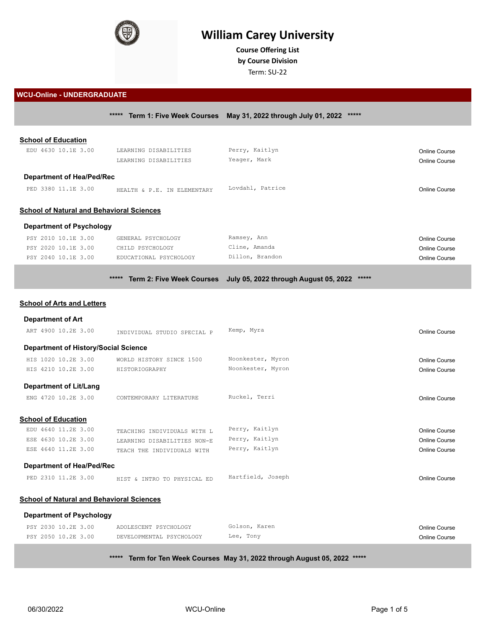

# **William Carey University**

**Course Offering List by Course Division**

Term: SU-22

#### **WCU-Online - UNDERGRADUATE**

|                                                  |                                           | ***** Term 1: Five Week Courses May 31, 2022 through July 01, 2022 ***** |                      |
|--------------------------------------------------|-------------------------------------------|--------------------------------------------------------------------------|----------------------|
| <b>School of Education</b>                       |                                           |                                                                          |                      |
| EDU 4630 10.1E 3.00                              | LEARNING DISABILITIES                     | Perry, Kaitlyn                                                           | <b>Online Course</b> |
|                                                  | LEARNING DISABILITIES                     | Yeager, Mark                                                             | <b>Online Course</b> |
|                                                  |                                           |                                                                          |                      |
| <b>Department of Hea/Ped/Rec</b>                 |                                           |                                                                          |                      |
| PED 3380 11.1E 3.00                              | HEALTH & P.E. IN ELEMENTARY               | Lovdahl, Patrice                                                         | <b>Online Course</b> |
|                                                  |                                           |                                                                          |                      |
| <b>School of Natural and Behavioral Sciences</b> |                                           |                                                                          |                      |
| <b>Department of Psychology</b>                  |                                           |                                                                          |                      |
| PSY 2010 10.1E 3.00                              | GENERAL PSYCHOLOGY                        | Ramsey, Ann                                                              | <b>Online Course</b> |
| PSY 2020 10.1E 3.00                              | CHILD PSYCHOLOGY                          | Cline, Amanda                                                            | <b>Online Course</b> |
| PSY 2040 10.1E 3.00                              | EDUCATIONAL PSYCHOLOGY                    | Dillon, Brandon                                                          | <b>Online Course</b> |
|                                                  |                                           |                                                                          |                      |
|                                                  | *****<br><b>Term 2: Five Week Courses</b> | July 05, 2022 through August 05, 2022<br>*****                           |                      |
| <b>School of Arts and Letters</b>                |                                           |                                                                          |                      |
| <b>Department of Art</b>                         |                                           |                                                                          |                      |
| ART 4900 10.2E 3.00                              |                                           | Kemp, Myra                                                               |                      |
|                                                  | INDIVIDUAL STUDIO SPECIAL P               |                                                                          | <b>Online Course</b> |
|                                                  |                                           |                                                                          |                      |
| <b>Department of History/Social Science</b>      |                                           |                                                                          |                      |
| HIS 1020 10.2E 3.00                              | WORLD HISTORY SINCE 1500                  | Noonkester, Myron                                                        | <b>Online Course</b> |
| HIS 4210 10.2E 3.00                              | HISTORIOGRAPHY                            | Noonkester, Myron                                                        | <b>Online Course</b> |
|                                                  |                                           |                                                                          |                      |
| <b>Department of Lit/Lang</b>                    |                                           |                                                                          |                      |
| ENG 4720 10.2E 3.00                              | CONTEMPORARY LITERATURE                   | Ruckel, Terri                                                            | <b>Online Course</b> |
| <b>School of Education</b>                       |                                           |                                                                          |                      |
| EDU 4640 11.2E 3.00                              | TEACHING INDIVIDUALS WITH L               | Perry, Kaitlyn                                                           | <b>Online Course</b> |
| ESE 4630 10.2E 3.00                              | LEARNING DISABILITIES NON-E               | Perry, Kaitlyn                                                           | <b>Online Course</b> |
| ESE 4640 11.2E 3.00                              | TEACH THE INDIVIDUALS WITH                | Perry, Kaitlyn                                                           | <b>Online Course</b> |
|                                                  |                                           |                                                                          |                      |
| <b>Department of Hea/Ped/Rec</b>                 |                                           |                                                                          |                      |
| PED 2310 11.2E 3.00                              | HIST & INTRO TO PHYSICAL ED               | Hartfield, Joseph                                                        | <b>Online Course</b> |
| <b>School of Natural and Behavioral Sciences</b> |                                           |                                                                          |                      |
| <b>Department of Psychology</b>                  |                                           |                                                                          |                      |
| PSY 2030 10.2E 3.00                              | ADOLESCENT PSYCHOLOGY                     | Golson, Karen                                                            | Online Course        |

**\*\*\*\*\* Term for Ten Week Courses May 31, 2022 through August 05, 2022 \*\*\*\*\***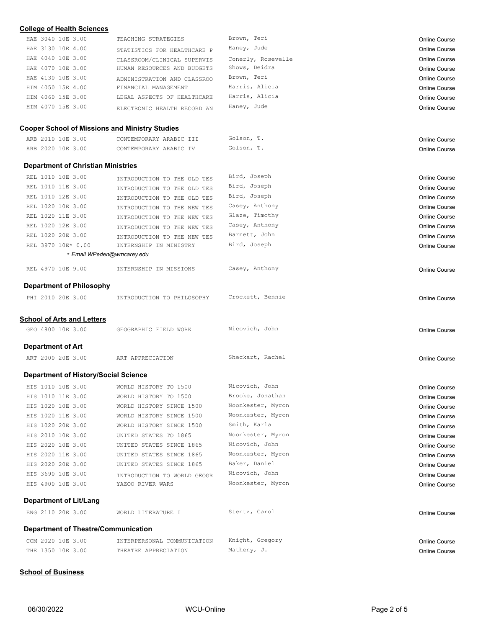| <b>College of Health Sciences</b>                     |                             |                    |                      |
|-------------------------------------------------------|-----------------------------|--------------------|----------------------|
| HAE 3040 10E 3.00                                     | TEACHING STRATEGIES         | Brown, Teri        | <b>Online Course</b> |
| HAE 3130 10E 4.00                                     | STATISTICS FOR HEALTHCARE P | Haney, Jude        | Online Course        |
| HAE 4040 10E 3.00                                     | CLASSROOM/CLINICAL SUPERVIS | Conerly, Rosevelle | Online Course        |
| HAE 4070 10E 3.00                                     | HUMAN RESOURCES AND BUDGETS | Shows, Deidra      | Online Course        |
| HAE 4130 10E 3.00                                     | ADMINISTRATION AND CLASSROO | Brown, Teri        | Online Course        |
| HIM 4050 15E 4.00                                     | FINANCIAL MANAGEMENT        | Harris, Alicia     | <b>Online Course</b> |
| HIM 4060 15E 3.00                                     | LEGAL ASPECTS OF HEALTHCARE | Harris, Alicia     | <b>Online Course</b> |
| HIM 4070 15E 3.00                                     | ELECTRONIC HEALTH RECORD AN | Haney, Jude        | Online Course        |
| <b>Cooper School of Missions and Ministry Studies</b> |                             |                    |                      |
| ARB 2010 10E 3.00                                     | CONTEMPORARY ARABIC III     | Golson, T.         | Online Course        |
| ARB 2020 10E 3.00                                     | CONTEMPORARY ARABIC IV      | Golson, T.         | Online Course        |
|                                                       |                             |                    |                      |
| <b>Department of Christian Ministries</b>             |                             |                    |                      |
| REL 1010 10E 3.00                                     | INTRODUCTION TO THE OLD TES | Bird, Joseph       | Online Course        |
| REL 1010 11E 3.00                                     | INTRODUCTION TO THE OLD TES | Bird, Joseph       | Online Course        |
| REL 1010 12E 3.00                                     | INTRODUCTION TO THE OLD TES | Bird, Joseph       | Online Course        |
| REL 1020 10E 3.00                                     | INTRODUCTION TO THE NEW TES | Casey, Anthony     | <b>Online Course</b> |
| REL 1020 11E 3.00                                     | INTRODUCTION TO THE NEW TES | Glaze, Timothy     | <b>Online Course</b> |
| REL 1020 12E 3.00                                     | INTRODUCTION TO THE NEW TES | Casey, Anthony     | Online Course        |
| REL 1020 20E 3.00                                     | INTRODUCTION TO THE NEW TES | Barnett, John      | Online Course        |
| REL 3970 10E* 0.00                                    | INTERNSHIP IN MINISTRY      | Bird, Joseph       | Online Course        |
|                                                       | * Email WPeden@wmcarey.edu  |                    |                      |
|                                                       |                             |                    |                      |
| REL 4970 10E 9.00                                     | INTERNSHIP IN MISSIONS      | Casey, Anthony     | Online Course        |
| <b>Department of Philosophy</b>                       |                             |                    |                      |
| PHI 2010 20E 3.00                                     |                             | Crockett, Bennie   |                      |
|                                                       | INTRODUCTION TO PHILOSOPHY  |                    | Online Course        |
|                                                       |                             |                    |                      |
| <b>School of Arts and Letters</b>                     |                             |                    |                      |
| GEO 4800 10E 3.00                                     | GEOGRAPHIC FIELD WORK       | Nicovich, John     | Online Course        |
| <b>Department of Art</b>                              |                             |                    |                      |
| ART 2000 20E 3.00                                     | ART APPRECIATION            | Sheckart, Rachel   | Online Course        |
|                                                       |                             |                    |                      |
| <b>Department of History/Social Science</b>           |                             |                    |                      |
| HIS 1010 10E 3.00                                     | WORLD HISTORY TO 1500       | Nicovich, John     | Online Course        |
| HIS 1010 11E 3.00                                     | WORLD HISTORY TO 1500       | Brooke, Jonathan   | Online Course        |
| HIS 1020 10E 3.00                                     | WORLD HISTORY SINCE 1500    | Noonkester, Myron  | <b>Online Course</b> |
| HIS 1020 11E 3.00                                     | WORLD HISTORY SINCE 1500    | Noonkester, Myron  | <b>Online Course</b> |
| HIS 1020 20E 3.00                                     | WORLD HISTORY SINCE 1500    | Smith, Karla       | <b>Online Course</b> |
| HIS 2010 10E 3.00                                     | UNITED STATES TO 1865       | Noonkester, Myron  | Online Course        |
| HIS 2020 10E 3.00                                     | UNITED STATES SINCE 1865    | Nicovich, John     | <b>Online Course</b> |
| HIS 2020 11E 3.00                                     | UNITED STATES SINCE 1865    | Noonkester, Myron  | <b>Online Course</b> |
| HIS 2020 20E 3.00                                     | UNITED STATES SINCE 1865    | Baker, Daniel      | <b>Online Course</b> |
| HIS 3690 10E 3.00                                     | INTRODUCTION TO WORLD GEOGR | Nicovich, John     | <b>Online Course</b> |
| HIS 4900 10E 3.00                                     | YAZOO RIVER WARS            | Noonkester, Myron  | Online Course        |
|                                                       |                             |                    |                      |
| Department of Lit/Lang                                |                             |                    |                      |
| ENG 2110 20E 3.00                                     | WORLD LITERATURE I          | Stentz, Carol      | <b>Online Course</b> |
| <b>Department of Theatre/Communication</b>            |                             |                    |                      |
| COM 2020 10E 3.00                                     | INTERPERSONAL COMMUNICATION | Knight, Gregory    | <b>Online Course</b> |
| THE 1350 10E 3.00                                     | THEATRE APPRECIATION        | Matheny, J.        | Online Course        |
|                                                       |                             |                    |                      |

## **School of Business**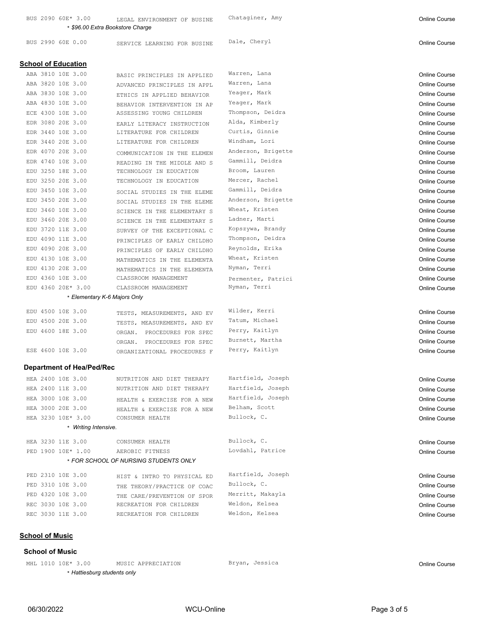BUS 2090 60E\* 3.00 LEGAL ENVIRONMENT OF BUSINE Chataginer, Amy Changes and Chataginer Course \* *\$96.00 Extra Bookstore Charge*

BUS 2990 60E 0.00 SERVICE LEARNING FOR BUSINE Dale, Cheryl Service Course Dale, Cheryl Course

| <b>School of Education</b>             |                                                           |                    |                      |
|----------------------------------------|-----------------------------------------------------------|--------------------|----------------------|
| ABA 3810 10E 3.00                      |                                                           | Warren, Lana       | <b>Online Course</b> |
| ABA 3820 10E 3.00                      | BASIC PRINCIPLES IN APPLIED                               | Warren, Lana       | <b>Online Course</b> |
| ABA 3830 10E 3.00                      | ADVANCED PRINCIPLES IN APPL<br>ETHICS IN APPLIED BEHAVIOR | Yeager, Mark       | <b>Online Course</b> |
| ABA 4830 10E 3.00                      |                                                           | Yeager, Mark       | <b>Online Course</b> |
| ECE 4300 10E 3.00                      | BEHAVIOR INTERVENTION IN AP<br>ASSESSING YOUNG CHILDREN   | Thompson, Deidra   | <b>Online Course</b> |
| EDR 3080 20E 3.00                      |                                                           | Alda, Kimberly     |                      |
| EDR 3440 10E 3.00                      | EARLY LITERACY INSTRUCTION<br>LITERATURE FOR CHILDREN     | Curtis, Ginnie     | <b>Online Course</b> |
| EDR 3440 20E 3.00                      | LITERATURE FOR CHILDREN                                   | Windham, Lori      | <b>Online Course</b> |
| EDR 4070 20E 3.00                      |                                                           | Anderson, Brigette | Online Course        |
| EDR 4740 10E 3.00                      | COMMUNICATION IN THE ELEMEN                               | Gammill, Deidra    | Online Course        |
| EDU 3250 18E 3.00                      | READING IN THE MIDDLE AND S<br>TECHNOLOGY IN EDUCATION    | Broom, Lauren      | Online Course        |
| EDU 3250 20E 3.00                      | TECHNOLOGY IN EDUCATION                                   | Mercer, Rachel     | <b>Online Course</b> |
| EDU 3450 10E 3.00                      |                                                           | Gammill, Deidra    | <b>Online Course</b> |
| EDU 3450 20E 3.00                      | SOCIAL STUDIES IN THE ELEME                               | Anderson, Brigette | <b>Online Course</b> |
| EDU 3460 10E 3.00                      | SOCIAL STUDIES IN THE ELEME                               | Wheat, Kristen     | <b>Online Course</b> |
| EDU 3460 20E 3.00                      | SCIENCE IN THE ELEMENTARY S                               | Ladner, Marti      | <b>Online Course</b> |
|                                        | SCIENCE IN THE ELEMENTARY S                               | Kopszywa, Brandy   | <b>Online Course</b> |
| EDU 3720 11E 3.00                      | SURVEY OF THE EXCEPTIONAL C                               | Thompson, Deidra   | <b>Online Course</b> |
| EDU 4090 11E 3.00                      | PRINCIPLES OF EARLY CHILDHO                               | Reynolds, Erika    | Online Course        |
| EDU 4090 20E 3.00<br>EDU 4130 10E 3.00 | PRINCIPLES OF EARLY CHILDHO                               | Wheat, Kristen     | <b>Online Course</b> |
|                                        | MATHEMATICS IN THE ELEMENTA                               |                    | Online Course        |
| EDU 4130 20E 3.00                      | MATHEMATICS IN THE ELEMENTA                               | Nyman, Terri       | <b>Online Course</b> |
| EDU 4360 10E 3.00                      | CLASSROOM MANAGEMENT                                      | Permenter, Patrici | <b>Online Course</b> |
| EDU 4360 20E* 3.00                     | CLASSROOM MANAGEMENT                                      | Nyman, Terri       | <b>Online Course</b> |
|                                        | * Elementary K-6 Majors Only                              |                    |                      |
| EDU 4500 10E 3.00                      | TESTS, MEASUREMENTS, AND EV                               | Wilder, Kerri      | <b>Online Course</b> |
| EDU 4500 20E 3.00                      | TESTS, MEASUREMENTS, AND EV                               | Tatum, Michael     | <b>Online Course</b> |
| EDU 4600 18E 3.00                      | ORGAN. PROCEDURES FOR SPEC                                | Perry, Kaitlyn     | <b>Online Course</b> |
|                                        | ORGAN. PROCEDURES FOR SPEC                                | Burnett, Martha    | <b>Online Course</b> |
| ESE 4600 10E 3.00                      | ORGANIZATIONAL PROCEDURES F                               | Perry, Kaitlyn     | <b>Online Course</b> |
| <b>Department of Hea/Ped/Rec</b>       |                                                           |                    |                      |
| HEA 2400 10E 3.00                      | NUTRITION AND DIET THERAPY                                | Hartfield, Joseph  | Online Course        |
| HEA 2400 11E 3.00                      | NUTRITION AND DIET THERAPY                                | Hartfield, Joseph  | <b>Online Course</b> |
| HEA 3000 10E 3.00                      | HEALTH & EXERCISE FOR A NEW                               | Hartfield, Joseph  | <b>Online Course</b> |
| HEA 3000 20E 3.00                      | HEALTH & EXERCISE FOR A NEW                               | Belham, Scott      | Online Course        |
| HEA 3230 10E* 3.00                     | CONSUMER HEALTH                                           | Bullock, C.        | <b>Online Course</b> |
| * Writing Intensive.                   |                                                           |                    |                      |
| HEA 3230 11E 3.00                      | CONSUMER HEALTH                                           | Bullock, C.        | <b>Online Course</b> |
| PED 1900 10E* 1.00                     | AEROBIC FITNESS                                           | Lovdahl, Patrice   | <b>Online Course</b> |
|                                        | * FOR SCHOOL OF NURSING STUDENTS ONLY                     |                    |                      |
|                                        |                                                           |                    |                      |
| PED 2310 10E 3.00                      | HIST & INTRO TO PHYSICAL ED                               | Hartfield, Joseph  | <b>Online Course</b> |
| PED 3310 10E 3.00                      | THE THEORY/PRACTICE OF COAC                               | Bullock, C.        | <b>Online Course</b> |
| PED 4320 10E 3.00                      | THE CARE/PREVENTION OF SPOR                               | Merritt, Makayla   | <b>Online Course</b> |
| REC 3030 10E 3.00                      | RECREATION FOR CHILDREN                                   | Weldon, Kelsea     | Online Course        |
| REC 3030 11E 3.00                      | RECREATION FOR CHILDREN                                   | Weldon, Kelsea     | Online Course        |
|                                        |                                                           |                    |                      |

#### **School of Music**

#### **School of Music**

MHL 1010 10E\* 3.00 MUSIC APPRECIATION Bryan, Jessica Chamber Course Course \* *Hattiesburg students only*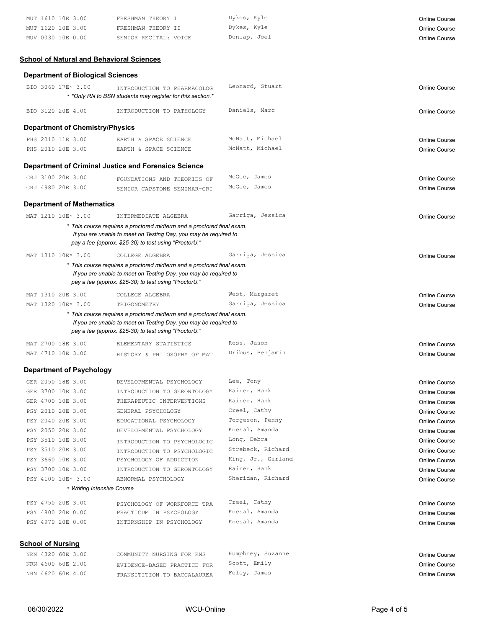| MUT 1610 10E 3.00 | FRESHMAN THEORY I     | Dykes, Kyle  | Online Course |
|-------------------|-----------------------|--------------|---------------|
| MUT 1620 10E 3.00 | FRESHMAN THEORY II    | Dykes, Kyle  | Online Course |
| MUV 0030 10E 0.00 | SENIOR RECITAL: VOICE | Dunlap, Joel | Online Course |

# **School of Natural and Behavioral Sciences**

## **Department of Biological Sciences**

| BIO 3060 17E* 3.00       |                                        | INTRODUCTION TO PHARMACOLOG<br>* *Only RN to BSN students may register for this section.*                                                                                                           | Leonard, Stuart    | <b>Online Course</b> |
|--------------------------|----------------------------------------|-----------------------------------------------------------------------------------------------------------------------------------------------------------------------------------------------------|--------------------|----------------------|
| BIO 3120 20E 4.00        |                                        | INTRODUCTION TO PATHOLOGY                                                                                                                                                                           | Daniels, Marc      | <b>Online Course</b> |
|                          | <b>Department of Chemistry/Physics</b> |                                                                                                                                                                                                     |                    |                      |
| PHS 2010 11E 3.00        |                                        | EARTH & SPACE SCIENCE                                                                                                                                                                               | McNatt, Michael    | Online Course        |
| PHS 2010 20E 3.00        |                                        | EARTH & SPACE SCIENCE                                                                                                                                                                               | McNatt, Michael    | <b>Online Course</b> |
|                          |                                        | <b>Department of Criminal Justice and Forensics Science</b>                                                                                                                                         |                    |                      |
| CRJ 3100 20E 3.00        |                                        | FOUNDATIONS AND THEORIES OF                                                                                                                                                                         | McGee, James       | Online Course        |
| CRJ 4980 20E 3.00        |                                        | SENIOR CAPSTONE SEMINAR-CRI                                                                                                                                                                         | McGee, James       | Online Course        |
|                          | <b>Department of Mathematics</b>       |                                                                                                                                                                                                     |                    |                      |
| MAT 1210 10E* 3.00       |                                        | INTERMEDIATE ALGEBRA                                                                                                                                                                                | Garriga, Jessica   | Online Course        |
|                          |                                        | * This course requires a proctored midterm and a proctored final exam.<br>If you are unable to meet on Testing Day, you may be required to<br>pay a fee (approx. \$25-30) to test using "ProctorU." |                    |                      |
| MAT 1310 10E* 3.00       |                                        | COLLEGE ALGEBRA                                                                                                                                                                                     | Garriga, Jessica   | Online Course        |
|                          |                                        | * This course requires a proctored midterm and a proctored final exam.<br>If you are unable to meet on Testing Day, you may be required to<br>pay a fee (approx. \$25-30) to test using "ProctorU." |                    |                      |
| MAT 1310 20E 3.00        |                                        | COLLEGE ALGEBRA                                                                                                                                                                                     | West, Margaret     | Online Course        |
| MAT 1320 10E* 3.00       |                                        | TRIGONOMETRY                                                                                                                                                                                        | Garriga, Jessica   | Online Course        |
|                          |                                        | * This course requires a proctored midterm and a proctored final exam.<br>If you are unable to meet on Testing Day, you may be required to<br>pay a fee (approx. \$25-30) to test using "ProctorU." |                    |                      |
| MAT 2700 18E 3.00        |                                        | ELEMENTARY STATISTICS                                                                                                                                                                               | Ross, Jason        | Online Course        |
| MAT 4710 10E 3.00        |                                        | HISTORY & PHILOSOPHY OF MAT                                                                                                                                                                         | Dribus, Benjamin   | Online Course        |
|                          | <b>Department of Psychology</b>        |                                                                                                                                                                                                     |                    |                      |
| GER 2050 18E 3.00        |                                        | DEVELOPMENTAL PSYCHOLOGY                                                                                                                                                                            | Lee, Tony          | Online Course        |
| GER 3700 10E 3.00        |                                        | INTRODUCTION TO GERONTOLOGY                                                                                                                                                                         | Rainer, Hank       | Online Course        |
| GER 4700 10E 3.00        |                                        | THERAPEUTIC INTERVENTIONS                                                                                                                                                                           | Rainer, Hank       | <b>Online Course</b> |
| PSY 2010 20E 3.00        |                                        | GENERAL PSYCHOLOGY                                                                                                                                                                                  | Creel, Cathy       | <b>Online Course</b> |
| PSY 2040 20E 3.00        |                                        | EDUCATIONAL PSYCHOLOGY                                                                                                                                                                              | Torgeson, Penny    | Online Course        |
| PSY 2050 20E 3.00        |                                        | DEVELOPMENTAL PSYCHOLOGY                                                                                                                                                                            | Knesal, Amanda     | Online Course        |
| PSY 3510 10E 3.00        |                                        | INTRODUCTION TO PSYCHOLOGIC                                                                                                                                                                         | Long, Debra        | Online Course        |
| PSY 3510 20E 3.00        |                                        | INTRODUCTION TO PSYCHOLOGIC                                                                                                                                                                         | Strebeck, Richard  | <b>Online Course</b> |
| PSY 3660 10E 3.00        |                                        | PSYCHOLOGY OF ADDICTION                                                                                                                                                                             | King, Jr., Garland | Online Course        |
| PSY 3700 10E 3.00        |                                        | INTRODUCTION TO GERONTOLOGY                                                                                                                                                                         | Rainer, Hank       | <b>Online Course</b> |
| PSY 4100 10E* 3.00       |                                        | ABNORMAL PSYCHOLOGY                                                                                                                                                                                 | Sheridan, Richard  | Online Course        |
|                          | * Writing Intensive Course             |                                                                                                                                                                                                     |                    |                      |
| PSY 4750 20E 3.00        |                                        | PSYCHOLOGY OF WORKFORCE TRA                                                                                                                                                                         | Creel, Cathy       | <b>Online Course</b> |
| PSY 4800 20E 0.00        |                                        | PRACTICUM IN PSYCHOLOGY                                                                                                                                                                             | Knesal, Amanda     | Online Course        |
| PSY 4970 20E 0.00        |                                        | INTERNSHIP IN PSYCHOLOGY                                                                                                                                                                            | Knesal, Amanda     | Online Course        |
| <u>School of Nursing</u> |                                        |                                                                                                                                                                                                     |                    |                      |
| NRN 4320 60E 3.00        |                                        | COMMUNITY NURSING FOR RNS                                                                                                                                                                           | Humphrey, Suzanne  | Online Course        |
| NRN 4600 60E 2.00        |                                        | EVIDENCE-BASED PRACTICE FOR                                                                                                                                                                         | Scott, Emily       | <b>Online Course</b> |
| NRN 4620 60E 4.00        |                                        | TRANSITITION TO BACCALAUREA                                                                                                                                                                         | Foley, James       | Online Course        |
|                          |                                        |                                                                                                                                                                                                     |                    |                      |